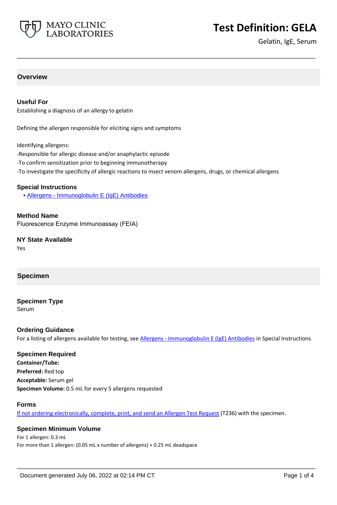

# **Test Definition: GELA**

Gelatin, IgE, Serum

# **Overview**

### **Useful For**

Establishing a diagnosis of an allergy to gelatin

Defining the allergen responsible for eliciting signs and symptoms

Identifying allergens:

- -Responsible for allergic disease and/or anaphylactic episode
- -To confirm sensitization prior to beginning immunotherapy
- -To investigate the specificity of allergic reactions to insect venom allergens, drugs, or chemical allergens

**\_\_\_\_\_\_\_\_\_\_\_\_\_\_\_\_\_\_\_\_\_\_\_\_\_\_\_\_\_\_\_\_\_\_\_\_\_\_\_\_\_\_\_\_\_\_\_\_\_\_\_**

#### **Special Instructions**

• [Allergens - Immunoglobulin E \(IgE\) Antibodies](https://www.mayocliniclabs.com/it-mmfiles/Allergens-IgE_Antibodies.pdf)

**Method Name** Fluorescence Enzyme Immunoassay (FEIA)

**NY State Available** Yes

#### **Specimen**

## **Specimen Type**

Serum

#### **Ordering Guidance**

For a listing of allergens available for testing, see [Allergens - Immunoglobulin E \(IgE\) Antibodies](https://www.mayocliniclabs.com/it-mmfiles/Allergens-IgE_Antibodies.pdf) in Special Instructions

# **Specimen Required**

**Container/Tube: Preferred:** Red top **Acceptable:** Serum gel **Specimen Volume:** 0.5 mL for every 5 allergens requested

#### **Forms**

If not ordering electronically, complete, print, and send an [Allergen Test Request](https://www.mayocliniclabs.com/it-mmfiles/allergen-test-request-form.pdf) (T236) with the specimen.

**\_\_\_\_\_\_\_\_\_\_\_\_\_\_\_\_\_\_\_\_\_\_\_\_\_\_\_\_\_\_\_\_\_\_\_\_\_\_\_\_\_\_\_\_\_\_\_\_\_\_\_**

#### **Specimen Minimum Volume**

For 1 allergen: 0.3 mL For more than 1 allergen: (0.05 mL x number of allergens) + 0.25 mL deadspace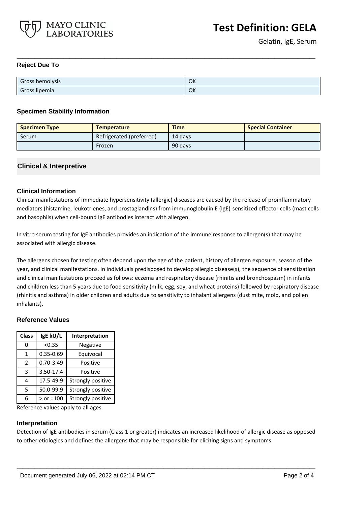

### **Reject Due To**

| Gross hemolysis | OK |
|-----------------|----|
| Gross lipemia   | OK |

**\_\_\_\_\_\_\_\_\_\_\_\_\_\_\_\_\_\_\_\_\_\_\_\_\_\_\_\_\_\_\_\_\_\_\_\_\_\_\_\_\_\_\_\_\_\_\_\_\_\_\_**

### **Specimen Stability Information**

| <b>Specimen Type</b> | <b>Temperature</b>       | <b>Time</b> | <b>Special Container</b> |
|----------------------|--------------------------|-------------|--------------------------|
| Serum                | Refrigerated (preferred) | 14 davs     |                          |
|                      | Frozen                   | 90 days     |                          |

## **Clinical & Interpretive**

## **Clinical Information**

Clinical manifestations of immediate hypersensitivity (allergic) diseases are caused by the release of proinflammatory mediators (histamine, leukotrienes, and prostaglandins) from immunoglobulin E (IgE)-sensitized effector cells (mast cells and basophils) when cell-bound IgE antibodies interact with allergen.

In vitro serum testing for IgE antibodies provides an indication of the immune response to allergen(s) that may be associated with allergic disease.

The allergens chosen for testing often depend upon the age of the patient, history of allergen exposure, season of the year, and clinical manifestations. In individuals predisposed to develop allergic disease(s), the sequence of sensitization and clinical manifestations proceed as follows: eczema and respiratory disease (rhinitis and bronchospasm) in infants and children less than 5 years due to food sensitivity (milk, egg, soy, and wheat proteins) followed by respiratory disease (rhinitis and asthma) in older children and adults due to sensitivity to inhalant allergens (dust mite, mold, and pollen inhalants).

#### **Reference Values**

| <b>Class</b>  | IgE kU/L      | Interpretation    |
|---------------|---------------|-------------------|
| 0             | < 0.35        | Negative          |
| 1             | 0.35-0.69     | Equivocal         |
| $\mathcal{P}$ | $0.70 - 3.49$ | Positive          |
| 3             | 3.50-17.4     | Positive          |
| 4             | 17.5-49.9     | Strongly positive |
| 5             | 50.0-99.9     | Strongly positive |
| 6             | $>$ or =100   | Strongly positive |

Reference values apply to all ages.

#### **Interpretation**

Detection of IgE antibodies in serum (Class 1 or greater) indicates an increased likelihood of allergic disease as opposed to other etiologies and defines the allergens that may be responsible for eliciting signs and symptoms.

**\_\_\_\_\_\_\_\_\_\_\_\_\_\_\_\_\_\_\_\_\_\_\_\_\_\_\_\_\_\_\_\_\_\_\_\_\_\_\_\_\_\_\_\_\_\_\_\_\_\_\_**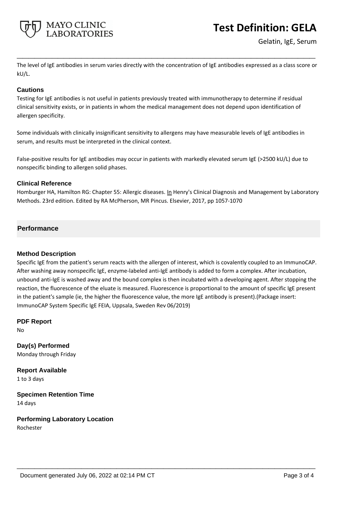

# **Test Definition: GELA**

Gelatin, IgE, Serum

The level of IgE antibodies in serum varies directly with the concentration of IgE antibodies expressed as a class score or kU/L.

**\_\_\_\_\_\_\_\_\_\_\_\_\_\_\_\_\_\_\_\_\_\_\_\_\_\_\_\_\_\_\_\_\_\_\_\_\_\_\_\_\_\_\_\_\_\_\_\_\_\_\_**

## **Cautions**

Testing for IgE antibodies is not useful in patients previously treated with immunotherapy to determine if residual clinical sensitivity exists, or in patients in whom the medical management does not depend upon identification of allergen specificity.

Some individuals with clinically insignificant sensitivity to allergens may have measurable levels of IgE antibodies in serum, and results must be interpreted in the clinical context.

False-positive results for IgE antibodies may occur in patients with markedly elevated serum IgE (>2500 kU/L) due to nonspecific binding to allergen solid phases.

## **Clinical Reference**

Homburger HA, Hamilton RG: Chapter 55: Allergic diseases. In Henry's Clinical Diagnosis and Management by Laboratory Methods. 23rd edition. Edited by RA McPherson, MR Pincus. Elsevier, 2017, pp 1057-1070

## **Performance**

### **Method Description**

Specific IgE from the patient's serum reacts with the allergen of interest, which is covalently coupled to an ImmunoCAP. After washing away nonspecific IgE, enzyme-labeled anti-IgE antibody is added to form a complex. After incubation, unbound anti-IgE is washed away and the bound complex is then incubated with a developing agent. After stopping the reaction, the fluorescence of the eluate is measured. Fluorescence is proportional to the amount of specific IgE present in the patient's sample (ie, the higher the fluorescence value, the more IgE antibody is present).(Package insert: ImmunoCAP System Specific IgE FEIA, Uppsala, Sweden Rev 06/2019)

**\_\_\_\_\_\_\_\_\_\_\_\_\_\_\_\_\_\_\_\_\_\_\_\_\_\_\_\_\_\_\_\_\_\_\_\_\_\_\_\_\_\_\_\_\_\_\_\_\_\_\_**

**PDF Report** No

**Day(s) Performed** Monday through Friday

**Report Available** 1 to 3 days

**Specimen Retention Time** 14 days

**Performing Laboratory Location** Rochester